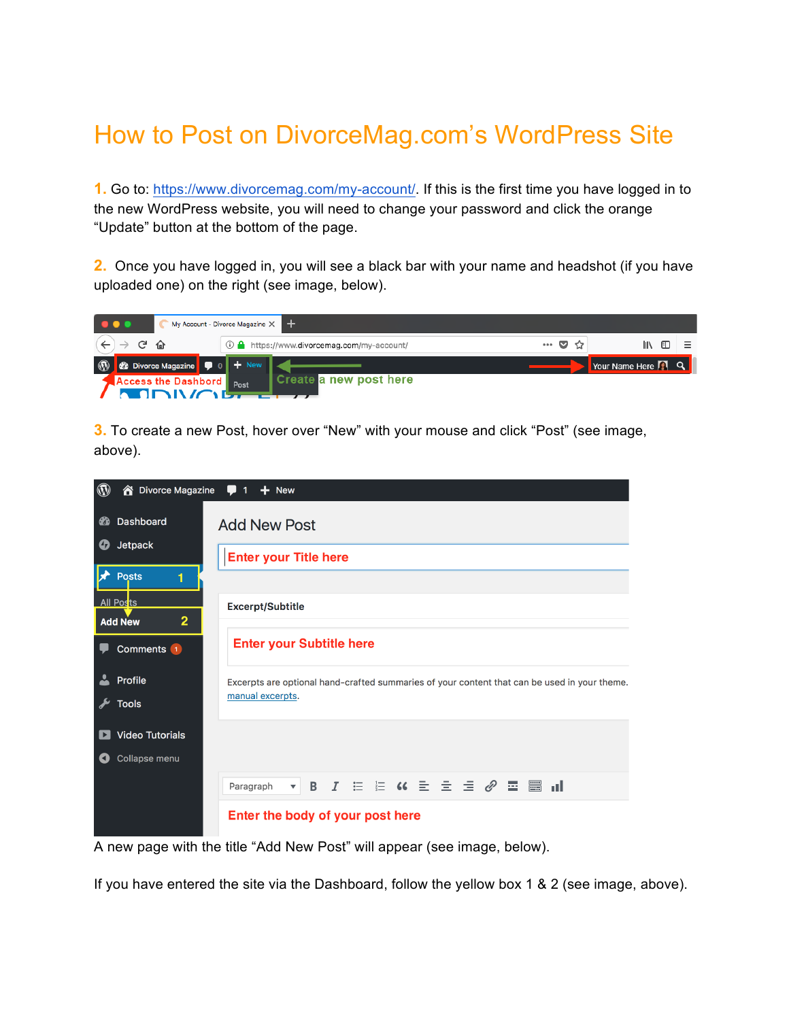## How to Post on DivorceMag.com's WordPress Site

**1.** Go to: https://www.divorcemag.com/my-account/. If this is the first time you have logged in to the new WordPress website, you will need to change your password and click the orange "Update" button at the bottom of the page.

**2.** Once you have logged in, you will see a black bar with your name and headshot (if you have uploaded one) on the right (see image, below).

| $\bullet\bullet\bullet$ |               | My Account - Divorce Magazine $\times$       |      |                                            |  |       |                             |  |
|-------------------------|---------------|----------------------------------------------|------|--------------------------------------------|--|-------|-----------------------------|--|
|                         | $\mathcal{C}$ |                                              |      | ① △ https://www.divorcemag.com/my-account/ |  | … ◙ ☆ | IN O                        |  |
| $\circledR$             |               | <b>8</b> Divorce Magazine $\bullet$ 0 + New  |      |                                            |  |       | Your Name Here <b>[4]</b> Q |  |
|                         |               | <b>Access the Dashbord</b><br><b>MODIVAR</b> | Post | Create a new post here                     |  |       |                             |  |

**3.** To create a new Post, hover over "New" with your mouse and click "Post" (see image, above).



A new page with the title "Add New Post" will appear (see image, below).

If you have entered the site via the Dashboard, follow the yellow box 1 & 2 (see image, above).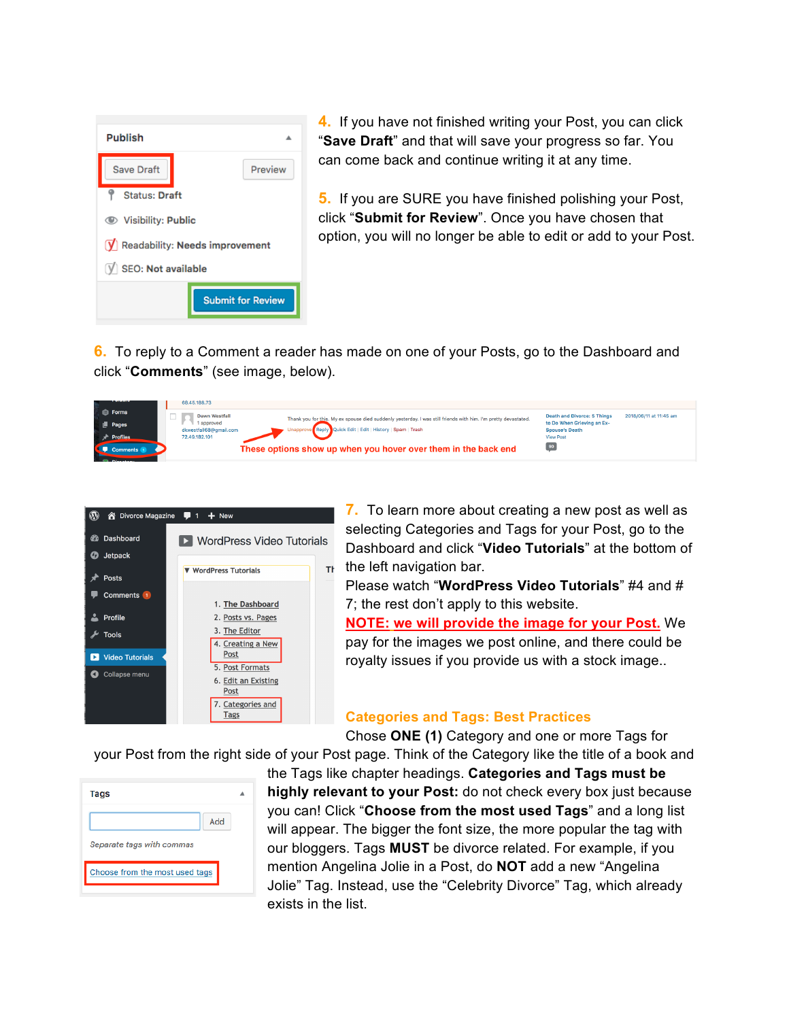| <b>Publish</b>                                             |  |  |  |  |  |  |
|------------------------------------------------------------|--|--|--|--|--|--|
| <b>Save Draft</b><br>Preview                               |  |  |  |  |  |  |
| <b>Status: Draft</b>                                       |  |  |  |  |  |  |
| <b>● Visibility: Public</b>                                |  |  |  |  |  |  |
| $\left  \mathbf{y} \right $ Readability: Needs improvement |  |  |  |  |  |  |
| $V$ SEO: Not available                                     |  |  |  |  |  |  |
| <b>Submit for Review</b>                                   |  |  |  |  |  |  |

**4.** If you have not finished writing your Post, you can click "**Save Draft**" and that will save your progress so far. You can come back and continue writing it at any time.

**5.** If you are SURE you have finished polishing your Post, click "**Submit for Review**". Once you have chosen that option, you will no longer be able to edit or add to your Post.

**6.** To reply to a Comment a reader has made on one of your Posts, go to the Dashboard and click "**Comments**" (see image, below).

| .                    | 68,45,188,73                                                                                                                           |                                                              |
|----------------------|----------------------------------------------------------------------------------------------------------------------------------------|--------------------------------------------------------------|
| <b>E</b> Forms       | <b>Dawn Westfall</b><br>Thank you for this. My ex spouse died suddenly yesterday. I was still friends with him. I'm pretty devastated. | <b>Death and Divorce: 5 Things</b><br>2018/06/11 at 11:45 am |
| $\blacksquare$ Pages | 1 approved<br>Unapprove Reply Quick Edit   Edit   History   Spam   Trash<br>dkwestfall68@gmail.com                                     | to Do When Grieving an Ex-<br><b>Spouse's Death</b>          |
| <b>Profiles</b>      | 72.49.182.101                                                                                                                          | <b>View Post</b>                                             |
| Comments 1           | These options show up when you hover over them in the back end                                                                         |                                                              |



**7.** To learn more about creating a new post as well as selecting Categories and Tags for your Post, go to the Dashboard and click "**Video Tutorials**" at the bottom of the left navigation bar.

Please watch "**WordPress Video Tutorials**" #4 and # 7; the rest don't apply to this website.

**NOTE: we will provide the image for your Post.** We pay for the images we post online, and there could be royalty issues if you provide us with a stock image..

## **Categories and Tags: Best Practices**

Chose **ONE (1)** Category and one or more Tags for

your Post from the right side of your Post page. Think of the Category like the title of a book and

| Add<br>Separate tags with commas<br>Choose from the most used tags | <b>Tags</b> |  |
|--------------------------------------------------------------------|-------------|--|
|                                                                    |             |  |
|                                                                    |             |  |
|                                                                    |             |  |

the Tags like chapter headings. **Categories and Tags must be highly relevant to your Post:** do not check every box just because you can! Click "**Choose from the most used Tags**" and a long list will appear. The bigger the font size, the more popular the tag with our bloggers. Tags **MUST** be divorce related. For example, if you mention Angelina Jolie in a Post, do **NOT** add a new "Angelina Jolie" Tag. Instead, use the "Celebrity Divorce" Tag, which already exists in the list.